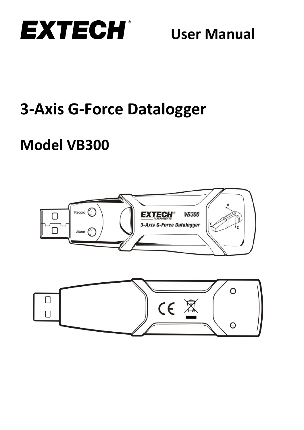

# **3-Axis G-Force Datalogger**

# **Model VB300**



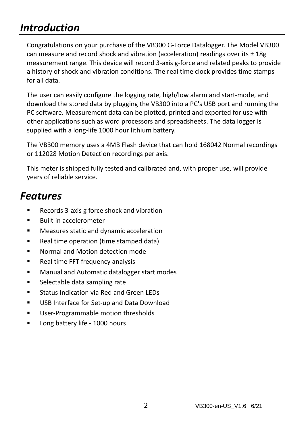### *Introduction*

Congratulations on your purchase of the VB300 G-Force Datalogger. The Model VB300 can measure and record shock and vibration (acceleration) readings over its  $\pm$  18g measurement range. This device will record 3-axis g-force and related peaks to provide a history of shock and vibration conditions. The real time clock provides time stamps for all data.

The user can easily configure the logging rate, high/low alarm and start-mode, and download the stored data by plugging the VB300 into a PC's USB port and running the PC software. Measurement data can be plotted, printed and exported for use with other applications such as word processors and spreadsheets. The data logger is supplied with a long-life 1000 hour lithium battery.

The VB300 memory uses a 4MB Flash device that can hold 168042 Normal recordings or 112028 Motion Detection recordings per axis.

This meter is shipped fully tested and calibrated and, with proper use, will provide years of reliable service.

#### *Features*

- Records 3-axis g force shock and vibration
- Built-in accelerometer
- Measures static and dynamic acceleration
- Real time operation (time stamped data)
- Normal and Motion detection mode
- Real time FFT frequency analysis
- Manual and Automatic datalogger start modes
- Selectable data sampling rate
- Status Indication via Red and Green LEDs
- USB Interface for Set-up and Data Download
- User-Programmable motion thresholds
- Long battery life 1000 hours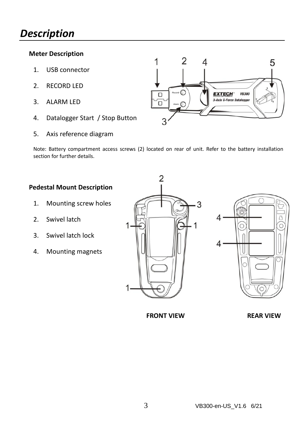#### *Description*

#### **Meter Description**

- 1. USB connector
- 2. RECORD LED
- 3. ALARM LED
- 4. Datalogger Start / Stop Button
- 5. Axis reference diagram



Note: Battery compartment access screws (2) located on rear of unit. Refer to the battery installation section for further details.

#### **Pedestal Mount Description**

- 1. Mounting screw holes
- 2. Swivel latch
- 3. Swivel latch lock
- 4. Mounting magnets





**FRONT VIEW REAR VIEW**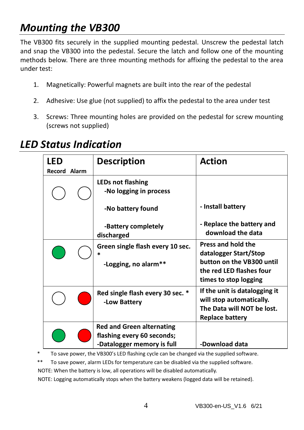# *Mounting the VB300*

The VB300 fits securely in the supplied mounting pedestal. Unscrew the pedestal latch and snap the VB300 into the pedestal. Secure the latch and follow one of the mounting methods below. There are three mounting methods for affixing the pedestal to the area under test:

- 1. Magnetically: Powerful magnets are built into the rear of the pedestal
- 2. Adhesive: Use glue (not supplied) to affix the pedestal to the area under test
- 3. Screws: Three mounting holes are provided on the pedestal for screw mounting (screws not supplied)

#### *LED Status Indication*

| LED                 | <b>Description</b>                | <b>Action</b>                                  |
|---------------------|-----------------------------------|------------------------------------------------|
| <b>Record Alarm</b> |                                   |                                                |
|                     | <b>LEDs not flashing</b>          |                                                |
|                     | -No logging in process            |                                                |
|                     | -No battery found                 | - Install battery                              |
|                     | -Battery completely<br>discharged | - Replace the battery and<br>download the data |
|                     | Green single flash every 10 sec.  | Press and hold the                             |
|                     | $\ast$                            | datalogger Start/Stop                          |
|                     | -Logging, no alarm**              | button on the VB300 until                      |
|                     |                                   | the red LED flashes four                       |
|                     |                                   | times to stop logging                          |
|                     | Red single flash every 30 sec. *  | If the unit is datalogging it                  |
|                     | -Low Battery                      | will stop automatically.                       |
|                     |                                   | The Data will NOT be lost.                     |
|                     |                                   | <b>Replace battery</b>                         |
|                     | <b>Red and Green alternating</b>  |                                                |
|                     | flashing every 60 seconds;        |                                                |
|                     | -Datalogger memory is full        | -Download data                                 |

\* To save power, the VB300's LED flashing cycle can be changed via the supplied software.

\*\* To save power, alarm LEDs for temperature can be disabled via the supplied software.

NOTE: When the battery is low, all operations will be disabled automatically.

NOTE: Logging automatically stops when the battery weakens (logged data will be retained).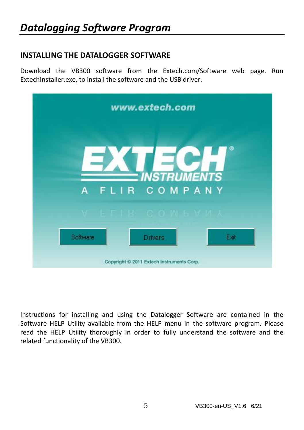#### **INSTALLING THE DATALOGGER SOFTWARE**

Download the VB300 software from the Extech.com/Software web page. Run ExtechInstaller.exe, to install the software and the USB driver.

| www.extech.com                            |                        |  |  |  |  |
|-------------------------------------------|------------------------|--|--|--|--|
|                                           | ⊛                      |  |  |  |  |
|                                           | <b>INSTRUMENTS</b>     |  |  |  |  |
| A                                         | FLIR COMPANY           |  |  |  |  |
|                                           | V EFIB CONSYMI         |  |  |  |  |
| Software                                  | Exit<br><b>Drivers</b> |  |  |  |  |
| Copyright © 2011 Extech Instruments Corp. |                        |  |  |  |  |

Instructions for installing and using the Datalogger Software are contained in the Software HELP Utility available from the HELP menu in the software program. Please read the HELP Utility thoroughly in order to fully understand the software and the related functionality of the VB300.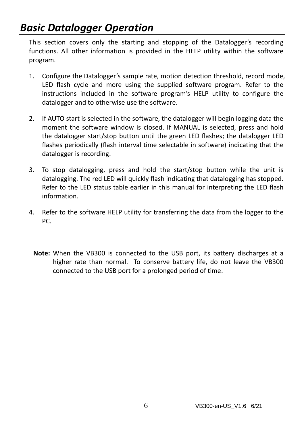### *Basic Datalogger Operation*

This section covers only the starting and stopping of the Datalogger's recording functions. All other information is provided in the HELP utility within the software program.

- 1. Configure the Datalogger's sample rate, motion detection threshold, record mode, LED flash cycle and more using the supplied software program. Refer to the instructions included in the software program's HELP utility to configure the datalogger and to otherwise use the software.
- 2. If AUTO start is selected in the software, the datalogger will begin logging data the moment the software window is closed. If MANUAL is selected, press and hold the datalogger start/stop button until the green LED flashes; the datalogger LED flashes periodically (flash interval time selectable in software) indicating that the datalogger is recording.
- 3. To stop datalogging, press and hold the start/stop button while the unit is datalogging. The red LED will quickly flash indicating that datalogging has stopped. Refer to the LED status table earlier in this manual for interpreting the LED flash information.
- 4. Refer to the software HELP utility for transferring the data from the logger to the PC.
	- **Note:** When the VB300 is connected to the USB port, its battery discharges at a higher rate than normal. To conserve battery life, do not leave the VB300 connected to the USB port for a prolonged period of time.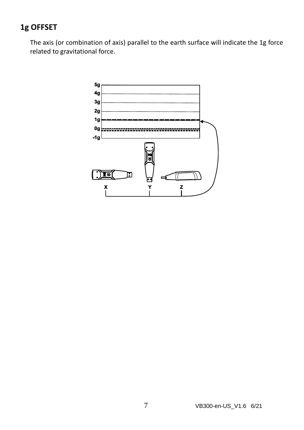#### **1g OFFSET**

The axis (or combination of axis) parallel to the earth surface will indicate the 1g force related to gravitational force.

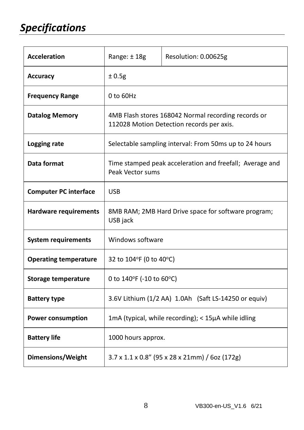| <b>Acceleration</b>          | Range: ±18g                                                                                      | Resolution: 0.00625g |  |
|------------------------------|--------------------------------------------------------------------------------------------------|----------------------|--|
| <b>Accuracy</b>              | ±0.5g                                                                                            |                      |  |
| <b>Frequency Range</b>       | $0$ to $60$ Hz                                                                                   |                      |  |
| <b>Datalog Memory</b>        | 4MB Flash stores 168042 Normal recording records or<br>112028 Motion Detection records per axis. |                      |  |
| Logging rate                 | Selectable sampling interval: From 50ms up to 24 hours                                           |                      |  |
| Data format                  | Time stamped peak acceleration and freefall; Average and<br>Peak Vector sums                     |                      |  |
| <b>Computer PC interface</b> | <b>USB</b>                                                                                       |                      |  |
| <b>Hardware requirements</b> | 8MB RAM; 2MB Hard Drive space for software program;<br>USB jack                                  |                      |  |
| <b>System requirements</b>   | Windows software                                                                                 |                      |  |
| <b>Operating temperature</b> | 32 to $104^{\circ}$ F (0 to $40^{\circ}$ C)                                                      |                      |  |
| Storage temperature          | 0 to 140°F (-10 to 60°C)                                                                         |                      |  |
| <b>Battery type</b>          | 3.6V Lithium (1/2 AA) 1.0Ah (Saft LS-14250 or equiv)                                             |                      |  |
| <b>Power consumption</b>     | 1mA (typical, while recording); < 15µA while idling                                              |                      |  |
| <b>Battery life</b>          | 1000 hours approx.                                                                               |                      |  |
| <b>Dimensions/Weight</b>     | 3.7 x 1.1 x 0.8" (95 x 28 x 21mm) / 6oz (172g)                                                   |                      |  |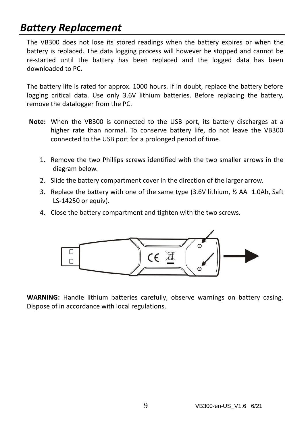#### *Battery Replacement*

The VB300 does not lose its stored readings when the battery expires or when the battery is replaced. The data logging process will however be stopped and cannot be re-started until the battery has been replaced and the logged data has been downloaded to PC.

The battery life is rated for approx. 1000 hours. If in doubt, replace the battery before logging critical data. Use only 3.6V lithium batteries. Before replacing the battery, remove the datalogger from the PC.

- **Note:** When the VB300 is connected to the USB port, its battery discharges at a higher rate than normal. To conserve battery life, do not leave the VB300 connected to the USB port for a prolonged period of time.
	- 1. Remove the two Phillips screws identified with the two smaller arrows in the diagram below.
	- 2. Slide the battery compartment cover in the direction of the larger arrow.
	- 3. Replace the battery with one of the same type (3.6V lithium, ½ AA 1.0Ah, Saft LS-14250 or equiv).
	- 4. Close the battery compartment and tighten with the two screws.



**WARNING:** Handle lithium batteries carefully, observe warnings on battery casing. Dispose of in accordance with local regulations.